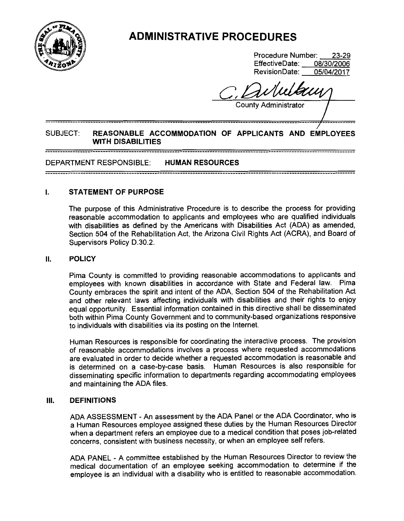

# **ADMINISTRATIVE PROCEDURES**

Procedure Number: 23-29<br>EffectiveDate: 08/30/2006 EffectiveDate: Revision Date: 05/04/2017

**County Administrator** 

# SUBJECT: **REASONABLE ACCOMMODATION OF APPLICANTS AND EMPLOYEES WITH DISABILITIES**

## DEPARTMENT RESPONSIBLE: **HUMAN RESOURCES**

### I. **STATEMENT OF PURPOSE**

The purpose of this Administrative Procedure is to describe the process for providing reasonable accommodation to applicants and employees who are qualified individuals with disabilities as defined by the Americans with Disabilities Act (ADA) as amended, Section 504 of the Rehabilitation Act, the Arizona Civil Rights Act (ACRA}, and Board of Supervisors Policy D.30.2.

#### II. **POLICY**

Pima County is committed to providing reasonable accommodations to applicants and employees with known disabilities in accordance with State and Federal law. Pima County embraces the spirit and intent of the ADA, Section 504 of the Rehabilitation Act and other relevant laws affecting individuals with disabilities and their rights to enjoy equal opportunity. Essential information contained in this directive shall be disseminated both within Pima County Government and to community-based organizations responsive to individuals with disabilities via its posting on the Internet.

Human Resources is responsible for coordinating the interactive process. The provision of reasonable accommodations involves a process where requested accommodations are evaluated in order to decide whether a requested accommodation is reasonable and is determined on a case-by-case basis. Human Resources is also responsible for disseminating specific information to departments regarding accommodating employees and maintaining the ADA files.

### Ill. **DEFINITIONS**

ADA ASSESSMENT - An assessment by the ADA Panel or the ADA Coordinator, who is a Human Resources employee assigned these duties by the Human Resources Director when a department refers an employee due to a medical condition that poses job-related concerns, consistent with business necessity, or when an employee self refers.

ADA PANEL - A committee established by the Human Resources Director to review the medical documentation of an employee seeking accommodation to determine if the employee is an individual with a disability who is entitled to reasonable accommodation.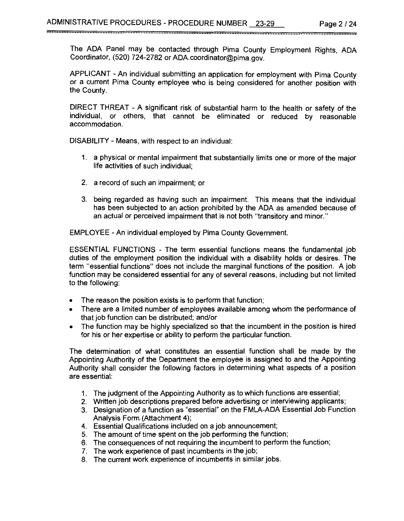The ADA Panel may be contacted through Pima County Employment Rights, ADA Coordinator, (520) 724-2782 or ADA.coordinator@pima.gov.

--------------------------------------------------------------------------------------------------------------------------

APPLICANT - An individual submitting an application for employment with Pima County or a current Pima County employee who is being considered for another position with the County.

DIRECT THREAT - A significant risk of substantial harm to the health or safety of the individual, or others, that cannot be eliminated or reduced by reasonable accommodation.

DISABILITY - Means, with respect to an individual:

- 1. a physical or mental impairment that substantially limits one or more of the major life activities of such individual;
- 2. a record of such an impairment; or
- 3. being regarded as having such an impairment. This means that the individual has been subjected to an action prohibited by the ADA as amended because of an actual or perceived impairment that is not both "transitory and minor."

EMPLOYEE - An individual employed by Pima County Government.

ESSENTIAL FUNCTIONS - The term essential functions means the fundamental job duties of the employment position the individual with a disability holds or desires. The term "essential functions" does not include the marginal functions of the position. A job function may be considered essential for any of several reasons, including but not limited to the following:

- The reason the position exists is to perform that function;
- There are a limited number of employees available among whom the performance of that job function can be distributed; and/or
- The function may be highly specialized so that the incumbent in the position is hired for his or her expertise or ability to perform the particular function.

The determination of what constitutes an essential function shall be made by the Appointing Authority of the Department the employee is assigned to and the Appointing Authority shall consider the following factors in determining what aspects of a position are essential:

- 1. The judgment of the Appointing Authority as to which functions are essential;
- 2. Written job descriptions prepared before advertising or interviewing applicants;
- 3. Designation of a function as "essential" on the FMLA-ADA Essential Job Function Analysis Form (Attachment 4);
- 4. Essential Qualifications included on a job announcement;
- 5. The amount of time spent on the job performing the function;
- 6. The consequences of not requiring the incumbent to perform the function;
- 7. The work experience of past incumbents in the job;
- 8. The current work experience of incumbents in similar jobs.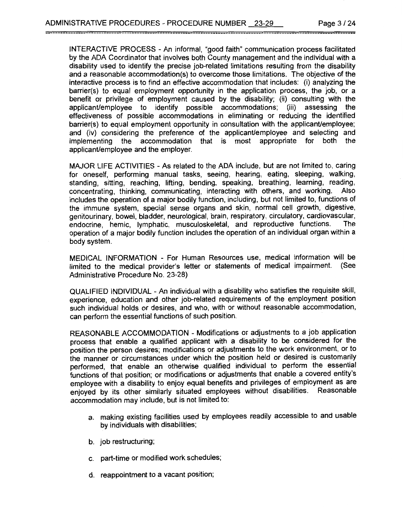\_\_\_\_\_\_\_\_\_\_\_

INTERACTIVE PROCESS - An informal, "good faith" communication process facilitated by the ADA Coordinator that involves both County management and the individual with a disability used to identify the precise job-related limitations resulting from the disability and a reasonable accommodation(s) to overcome those limitations. The objective of the interactive process is to find an effective accommodation that includes: (i) analyzing the barrier(s) to equal employment opportunity in the application process, the job, or a benefit or privilege of employment caused by the disability; (ii) consulting with the applicant/employee to identify possible accommodations; (iii) assessing the effectiveness of possible accommodations in eliminating or reducing the identified barrier(s) to equal employment opportunity in consultation with the applicant/employee; and (iv) considering the preference of the applicant/employee and selecting and implementing the accommodation that is most appropriate for both the applicant/employee and the employer.

MAJOR LIFE ACTIVITIES - As related to the ADA include, but are not limited to, caring for oneself, performing manual tasks, seeing, hearing, eating, sleeping, walking, standing, sitting, reaching, lifting, bending, speaking, breathing, learning, reading, concentrating, thinking, communicating, interacting with others, and working. Also includes the operation of a major bodily function, including, but not limited to, functions of the immune system, special sense organs and skin, normal cell growth, digestive, genitourinary, bowel, bladder, neurological, brain, respiratory, circulatory, cardiovascular,<br>endocrine hemic lymphatic musculoskeletal and reproductive functions. The endocrine, hemic, lymphatic, musculoskeletal, and reproductive functions. operation of a major bodily function includes the operation of an individual organ within a body system.

MEDICAL INFORMATION - For Human Resources use, medical information will be limited to the medical provider's letter or statements of medical impairment. (See Administrative Procedure No. 23-28)

QUALIFIED INDIVIDUAL - An individual with a disability who satisfies the requisite skill, experience, education and other job-related requirements of the employment position such individual holds or desires, and who, with or without reasonable accommodation, can perform the essential functions of such position.

REASONABLE ACCOMMODATION - Modifications or adjustments to a job application process that enable a qualified applicant with a disability to be considered for the position the person desires; modifications or adjustments to the work environment, or to the manner or circumstances under which the position held or desired is customarily performed, that enable an otherwise qualified individual to perform the essential functions of that position; or modifications or adjustments that enable a covered entity's employee with a disability to enjoy equal benefits and privileges of employment as are enjoyed by its other similarly situated employees without disabilities. Reasonable accommodation may include, but is not limited to:

- a. making existing facilities used by employees readily accessible to and usable by individuals with disabilities;
- b. job restructuring;
- c. part-time or modified work schedules;
- d. reappointment to a vacant position;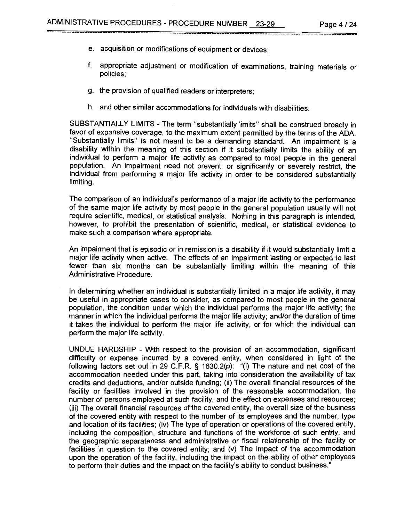- e. acquisition or modifications of equipment or devices;
- f. appropriate adjustment or modification of examinations, training materials or policies;
- g. the provision of qualified readers or interpreters;
- h. and other similar accommodations for individuals with disabilities.

--------------------------------------------------------------------------------------------------------------------------

SUBSTANTIALLY LIMITS - The term "substantially limits" shall be construed broadly in favor of expansive coverage, to the maximum extent permitted by the terms of the ADA. "Substantially limits" is not meant to be a demanding standard. An impairment is a disability within the meaning of this section if it substantially limits the ability of an individual to perform a major life activity as compared to most people in the general population. An impairment need not prevent, or significantly or severely restrict, the individual from performing a major life activity in order to be considered substantially limiting.

The comparison of an individual's performance of a major life activity to the performance of the same major life activity by most people in the general population usually will not require scientific, medical, or statistical analysis. Nothing in this paragraph is intended, however, to prohibit the presentation of scientific, medical, or statistical evidence to make such a comparison where appropriate.

An impairment that is episodic or in remission is a disability if it would substantially limit a major life activity when active. The effects of an impairment lasting or expected to last fewer than six months can be substantially limiting within the meaning of this Administrative Procedure.

In determining whether an individual is substantially limited in a major life activity, it may be useful in appropriate cases to consider, as compared to most people in the general population, the condition under which the individual performs the major life activity; the manner in which the individual performs the major life activity; and/or the duration of time it takes the individual to perform the major life activity, or for which the individual can perform the major life activity.

UNDUE HARDSHIP - With respect to the provision of an accommodation, significant difficulty or expense incurred by a covered entity, when considered in light of the following factors set out in 29 C.F.R. § 1630.2(p): "(i) The nature and net cost of the accommodation needed under this part, taking into consideration the availability of tax credits and deductions, and/or outside funding; (ii) The overall financial resources of the facility or facilities involved in the provision of the reasonable accommodation, the number of persons employed at such facility, and the effect on expenses and resources; (iii) The overall financial resources of the covered entity, the overall size of the business of the covered entity with respect to the number of its employees and the number, type and location of its facilities; (iv) The type of operation or operations of the covered entity, including the composition, structure and functions of the workforce of such entity, and the geographic separateness and administrative or fiscal relationship of the facility or facilities in question to the covered entity; and (v) The impact of the accommodation upon the operation of the facility, including the impact on the ability of other employees to perform their duties and the impact on the facility's ability to conduct business."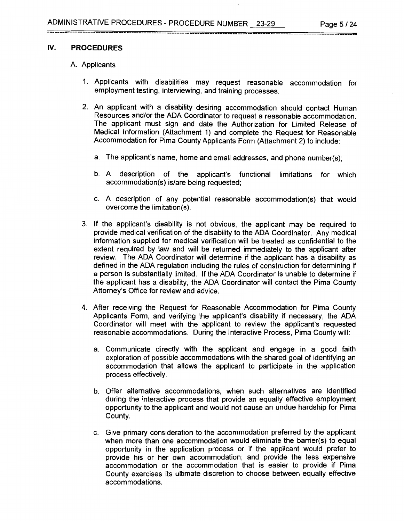#### IV. **PROCEDURES**

#### A. Applicants

1. Applicants with disabilities may request reasonable accommodation for employment testing, interviewing, and training processes.

--------------------------------------------------------------------------------------------------------------------------

- 2. An applicant with a disability desiring accommodation should contact Human Resources and/or the ADA Coordinator to request a reasonable accommodation. The applicant must sign and date the Authorization for Limited Release of Medical Information (Attachment 1) and complete the Request for Reasonable Accommodation for Pima County Applicants Form (Attachment 2) to include:
	- a. The applicant's name, home and email addresses, and phone number(s);
	- b. A description of the applicant's functional limitations for which accommodation(s) is/are being requested;
	- c. A description of any potential reasonable accommodation(s) that would overcome the limitation(s).
- 3. If the applicant's disability is not obvious, the applicant may be required to provide medical verification of the disability to the ADA Coordinator. Any medical information supplied for medical verification will be treated as confidential to the extent required by law and will be returned immediately to the applicant after review. The ADA Coordinator will determine if the applicant has a disability as defined in the ADA regulation including the rules of construction for determining if a person is substantially limited. If the ADA Coordinator is unable to determine if the applicant has a disability, the ADA Coordinator will contact the Pima County Attorney's Office for review and advice.
- 4. After receiving the Request for Reasonable Accommodation for Pima County Applicants Form, and verifying the applicant's disability if necessary, the ADA Coordinator will meet with the applicant to review the applicant's requested reasonable accommodations. During the Interactive Process, Pima County will:
	- a. Communicate directly with the applicant and engage in a good faith exploration of possible accommodations with the shared goal of identifying an accommodation that allows the applicant to participate in the application process effectively.
	- b. Offer alternative accommodations, when such alternatives are identified during the interactive process that provide an equally effective employment opportunity to the applicant and would not cause an undue hardship for Pima County.
	- c. Give primary consideration to the accommodation preferred by the applicant when more than one accommodation would eliminate the barrier(s) to equal opportunity in the application process or if the applicant would prefer to provide his or her own accommodation; and provide the less expensive accommodation or the accommodation that is easier to provide if Pima County exercises its ultimate discretion to choose between equally effective accommodations.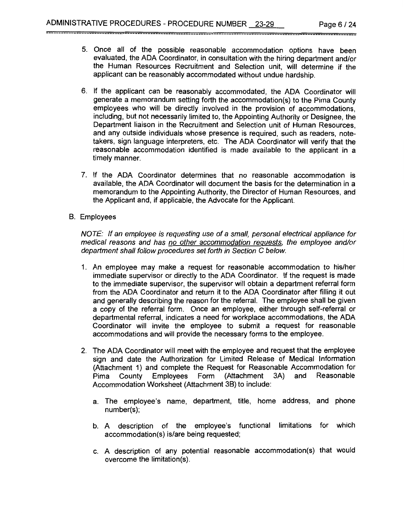5. Once all of the possible reasonable accommodation options have been evaluated, the ADA Coordinator, in consultation with the hiring department and/or the Human Resources Recruitment and Selection unit, will determine if the applicant can be reasonably accommodated without undue hardship.

--------------------------------------------------------------------------------------------------------------------------

- 6. If the applicant can be reasonably accommodated, the ADA Coordinator will generate a memorandum setting forth the accommodation(s) to the Pima County employees who will be directly involved in the provision of accommodations, including, but not necessarily limited to, the Appointing Authority or Designee, the Department liaison in the Recruitment and Selection unit of Human Resources, and any outside individuals whose presence is required, such as readers, notetakers, sign language interpreters, etc. The ADA Coordinator will verify that the reasonable accommodation identified is made available to the applicant in a timely manner.
- 7. If the ADA Coordinator determines that no reasonable accommodation is available, the ADA Coordinator will document the basis for the determination in a memorandum to the Appointing Authority, the Director of Human Resources, and the Applicant and, if applicable, the Advocate for the Applicant.
- B. Employees

NOTE: If an employee is requesting use of a small, personal electrical appliance for medical reasons and has no other accommodation requests. the employee and/or department shall follow procedures set forth in Section C below.

- 1. An employee may make a request for reasonable accommodation to his/her immediate supervisor or directly to the ADA Coordinator. If the request is made to the immediate supervisor, the supervisor will obtain a department referral form from the ADA Coordinator and return it to the ADA Coordinator after filling it out and generally describing the reason for the referral. The employee shall be given a copy of the referral form. Once an employee, either through self-referral or departmental referral, indicates a need for workplace accommodations, the ADA Coordinator will invite the employee to submit a request for reasonable accommodations and will provide the necessary forms to the employee.
- 2. The ADA Coordinator will meet with the employee and request that the employee sign and date the Authorization for Limited Release of Medical Information (Attachment 1) and complete the Request for Reasonable Accommodation for Pima County Employees Form (Attachment 3A) and Reasonable Accommodation Worksheet (Attachment 38) to include:
	- a. The employee's name, department, title, home address, and phone number(s);
	- b. A description of the employee's functional limitations for which accommodation(s) is/are being requested;
	- c. A description of any potential reasonable accommodation(s) that would overcome the limitation(s).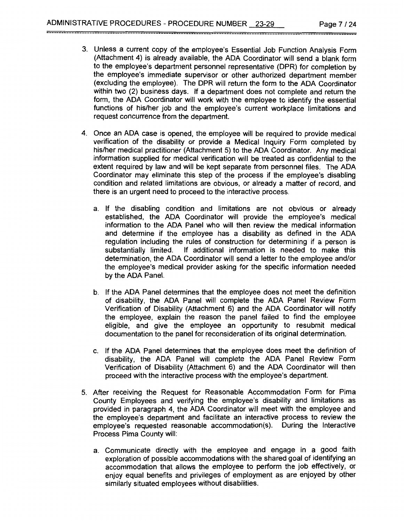3. Unless a current copy of the employee's Essential Job Function Analysis Form (Attachment 4) is already available, the ADA Coordinator will send a blank form to the employee's department personnel representative (DPR) for completion by the employee's immediate supervisor or other authorized department member (excluding the employee). The DPR will return the form to the ADA Coordinator within two (2) business days. If a department does not complete and return the form, the ADA Coordinator will work with the employee to identify the essential functions of his/her job and the employee's current workplace limitations and request concurrence from the department.

--------------------------------------------------------------------------------------------------------------------------

- 4. Once an ADA case is opened, the employee will be required to provide medical verification of the disability or provide a Medical Inquiry Form completed by his/her medical practitioner (Attachment 5) to the ADA Coordinator. Any medical information supplied for medical verification will be treated as confidential to the extent required by law and will be kept separate from personnel files. The ADA Coordinator may eliminate this step of the process if the employee's disabling condition and related limitations are obvious, or already a matter of record, and there is an urgent need to proceed to the interactive process.
	- a. If the disabling condition and limitations are not obvious or already established, the ADA Coordinator will provide the employee's medical information to the ADA Panel who will then review the medical information and determine if the employee has a disability as defined in the ADA regulation including the rules of construction for determining if a person is substantially limited. If additional information is needed to make this If additional information is needed to make this determination, the ADA Coordinator will send a letter to the employee and/or the employee's medical provider asking for the specific information needed by the ADA Panel.
	- b. If the ADA Panel determines that the employee does not meet the definition of disability, the ADA Panel will complete the ADA Panel Review Form Verification of Disability (Attachment 6) and the ADA Coordinator will notify the employee, explain the reason the panel failed to find the employee eligible, and give the employee an opportunity to resubmit medical documentation to the panel for reconsideration of its original determination.
	- c. If the ADA Panel determines that the employee does meet the definition of disability, the ADA Panel will complete the ADA Panel Review Form Verification of Disability (Attachment 6) and the ADA Coordinator will then proceed with the interactive process with the employee's department.
- 5. After receiving the Request for Reasonable Accommodation Form for Pima County Employees and verifying the employee's disability and limitations as provided in paragraph 4, the ADA Coordinator will meet with the employee and the employee's department and facilitate an interactive process to review the employee's requested reasonable accommodation(s). During the Interactive Process Pima County will:
	- a. Communicate directly with the employee and engage in a good faith exploration of possible accommodations with the shared goal of identifying an accommodation that allows the employee to perform the job effectively, or enjoy equal benefits and privileges of employment as are enjoyed by other similarly situated employees without disabilities.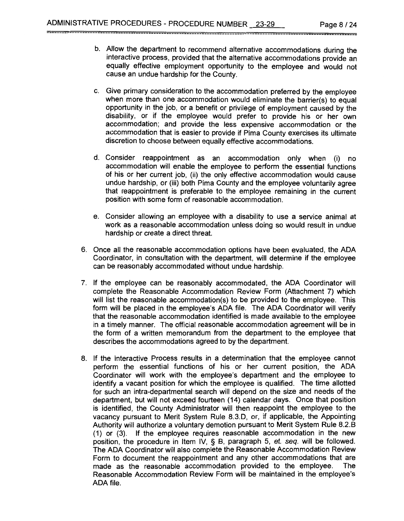b. Allow the department to recommend alternative accommodations during the interactive process, provided that the alternative accommodations provide an equally effective employment opportunity to the employee and would not cause an undue hardship for the County.

--------------------------------------------------------------------------------------------------------------------------

- c. Give primary consideration to the accommodation preferred by the employee when more than one accommodation would eliminate the barrier(s) to equal opportunity in the job, or a benefit or privilege of employment caused by the disability, or if the employee would prefer to provide his or her own accommodation; and provide the less expensive accommodation or the accommodation that is easier to provide if Pima County exercises its ultimate discretion to choose between equally effective accommodations.
- d. Consider reappointment as an accommodation only when (i) no accommodation will enable the employee to perform the essential functions of his or her current job, (ii) the only effective accommodation would cause undue hardship, or (iii) both Pima County and the employee voluntarily agree that reappointment is preferable to the employee remaining in the current position with some form of reasonable accommodation.
- e. Consider allowing an employee with a disability to use a service animal at work as a reasonable accommodation unless doing so would result in undue hardship or create a direct threat.
- 6. Once all the reasonable accommodation options have been evaluated, the ADA Coordinator, in consultation with the department, will determine if the employee can be reasonably accommodated without undue hardship.
- 7. If the employee can be reasonably accommodated, the ADA Coordinator will complete the Reasonable Accommodation Review Form (Attachment 7) which will list the reasonable accommodation(s) to be provided to the employee. This form will be placed in the employee's ADA file. The ADA Coordinator will verify that the reasonable accommodation identified is made available to the employee in a timely manner. The official reasonable accommodation agreement will be in the form of a written memorandum from the department to the employee that describes the accommodations agreed to by the department.
- 8. If the Interactive Process results in a determination that the employee cannot perform the essential functions of his or her current position, the ADA Coordinator will work with the employee's department and the employee to identify a vacant position for which the employee is qualified. The time allotted for such an intra-departmental search will depend on the size and needs of the department, but will not exceed fourteen (14) calendar days. Once that position is identified, the County Administrator will then reappoint the employee to the vacancy pursuant to Merit System Rule 8.3.D, or, if applicable, the Appointing Authority will authorize a voluntary demotion pursuant to Merit System Rule 8.2.B (1) or (3). If the employee requires reasonable accommodation in the new position, the procedure in Item IV, § B, paragraph 5, et. seq. will be followed. The ADA Coordinator will also complete the Reasonable Accommodation Review Form to document the reappointment and any other accommodations that are made as the reasonable accommodation provided to the employee. The Reasonable Accommodation Review Form will be maintained in the employee's ADA file.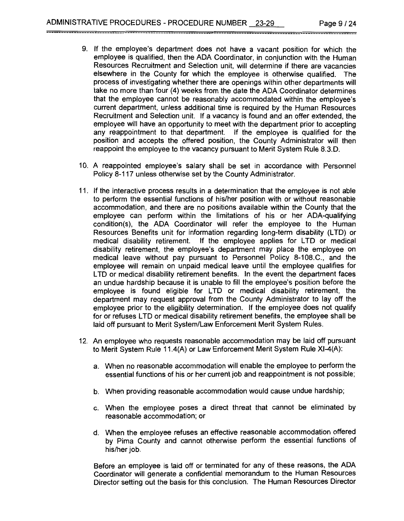9. If the employee's department does not have a vacant position for which the employee is qualified, then the ADA Coordinator, in conjunction with the Human Resources Recruitment and Selection unit, will determine if there are vacancies elsewhere in the County for which the employee is otherwise qualified. The process of investigating whether there are openings within other departments will take no more than four (4) weeks from the date the ADA Coordinator determines that the employee cannot be reasonably accommodated within the employee's current department, unless additional time is required by the Human Resources Recruitment and Selection unit. If a vacancy is found and an offer extended, the employee will have an opportunity to meet with the department prior to accepting any reappointment to that department. If the employee is qualified for the position and accepts the offered position, the County Administrator will then reappoint the employee to the vacancy pursuant to Merit System Rule 8.3.D.

--------------------------------------------------------------------------------------------------------------------------

- 10. A reappointed employee's salary shall be set in accordance with Personnel Policy 8-117 unless otherwise set by the County Administrator.
- 11. If the interactive process results in a determination that the employee is not able to perform the essential functions of his/her position with or without reasonable accommodation, and there are no positions available within the County that the employee can perform within the limitations of his or her ADA-qualifying condition(s), the ADA Coordinator will refer the employee to the Human Resources Benefits unit for information regarding long-term disability (LTD) or medical disability retirement. If the employee applies for LTD or medical disability retirement, the employee's department may place the employee on medical leave without pay pursuant to Personnel Policy 8-108.C., and the employee will remain on unpaid medical leave until the employee qualifies for LTD or medical disability retirement benefits. In the event the department faces an undue hardship because it is unable to fill the employee's position before the employee is found eligible for LTD or medical disability retirement, the department may request approval from the County Administrator to lay off the employee prior to the eligibility determination. If the employee does not qualify for or refuses LTD or medical disability retirement benefits, the employee shall be laid off pursuant to Merit System/Law Enforcement Merit System Rules.
- 12. An employee who requests reasonable accommodation may be laid off pursuant to Merit System Rule 11.4(A) or Law Enforcement Merit System Rule Xl-4(A):
	- a. When no reasonable accommodation will enable the employee to perform the essential functions of his or her current job and reappointment is not possible;
	- b. When providing reasonable accommodation would cause undue hardship;
	- c. When the employee poses a direct threat that cannot be eliminated by reasonable accommodation; or
	- d. When the employee refuses an effective reasonable accommodation offered by Pima County and cannot otherwise perform the essential functions of his/her job.

Before an employee is laid off or terminated for any of these reasons, the ADA Coordinator will generate a confidential memorandum to the Human Resources Director setting out the basis for this conclusion. The Human Resources Director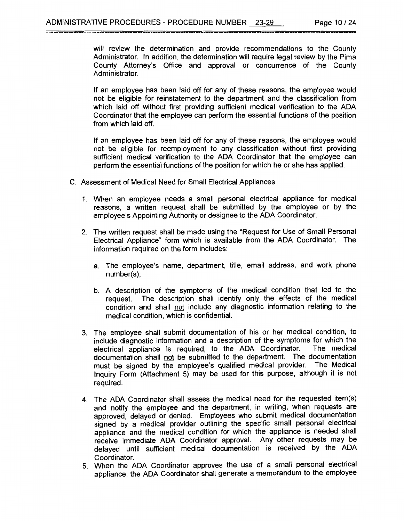will review the determination and provide recommendations to the County Administrator. In addition, the determination will require legal review by the Pima County Attorney's Office and approval or concurrence of the County Administrator.

If an employee has been laid off for any of these reasons, the employee would not be eligible for reinstatement to the department and the classification from which laid off without first providing sufficient medical verification to the ADA Coordinator that the employee can perform the essential functions of the position from which laid off.

If an employee has been laid off for any of these reasons, the employee would not be eligible for reemployment to any classification without first providing sufficient medical verification to the ADA Coordinator that the employee can perform the essential functions of the position for which he or she has applied.

- C. Assessment of Medical Need for Small Electrical Appliances
	- 1. When an employee needs a small personal electrical appliance for medical reasons, a written request shall be submitted by the employee or by the employee's Appointing Authority or designee to the ADA Coordinator.
	- 2. The written request shall be made using the "Request for Use of Small Personal Electrical Appliance" form which is available from the ADA Coordinator. The information required on the form includes:
		- a. The employee's name, department, title, email address, and work phone number(s);
		- b. A description of the symptoms of the medical condition that led to the request. The description shall identify only the effects of the medical condition and shall not include any diagnostic information relating to the medical condition, which is confidential.
	- 3. The employee shall submit documentation of his or her medical condition, to include diagnostic information and a description of the symptoms for which the electrical appliance is required, to the ADA Coordinator. documentation shall not be submitted to the department. The documentation must be signed by the employee's qualified medical provider. The Medical Inquiry Form (Attachment 5) may be used for this purpose, although it is not required.
	- 4. The ADA Coordinator shall assess the medical need for the requested item(s) and notify the employee and the department, in writing, when requests are approved, delayed or denied. Employees who submit medical documentation signed by a medical provider outlining the specific small personal electrical appliance and the medical condition for which the appliance is needed shall receive immediate ADA Coordinator approval. Any other requests may be delayed until sufficient medical documentation is received by the ADA Coordinator.
	- 5. When the ADA Coordinator approves the use of a small personal electrical appliance, the ADA Coordinator shall generate a memorandum to the employee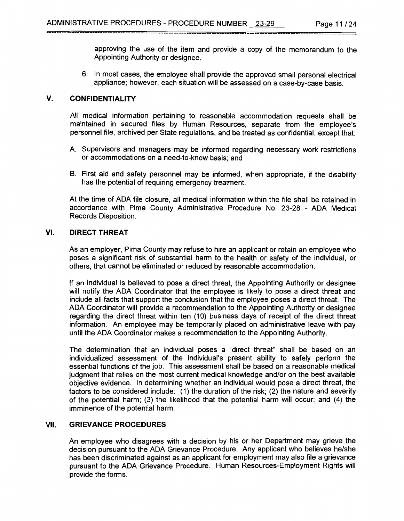approving the use of the item and provide a copy of the memorandum to the Appointing Authority or designee.

6. In most cases, the employee shall provide the approved small personal electrical appliance; however, each situation will be assessed on a case-by-case basis.

--------------------------------------------------------------------------------------------------------------------------

#### **V. CONFIDENTIALITY**

All medical information pertaining to reasonable accommodation requests shall be maintained in secured files by Human Resources, separate from the employee's personnel file, archived per State regulations, and be treated as confidential, except that:

- A. Supervisors and managers may be informed regarding necessary work restrictions or accommodations on a need-to-know basis; and
- B. First aid and safety personnel may be informed, when appropriate, if the disability has the potential of requiring emergency treatment.

At the time of ADA file closure, all medical information within the file shall be retained in accordance with Pima County Administrative Procedure No. 23-28 - ADA Medical Records Disposition.

#### **VI. DIRECT THREAT**

As an employer, Pima County may refuse to hire an applicant or retain an employee who poses a significant risk of substantial harm to the health or safety of the individual, or others, that cannot be eliminated or reduced by reasonable accommodation.

If an individual is believed to pose a direct threat, the Appointing Authority or designee will notify the ADA Coordinator that the employee is likely to pose a direct threat and include all facts that support the conclusion that the employee poses a direct threat. The ADA Coordinator will provide a recommendation to the Appointing Authority or designee regarding the direct threat within ten (10) business days of receipt of the direct threat information. An employee may be temporarily placed on administrative leave with pay until the ADA Coordinator makes a recommendation to the Appointing Authority.

The determination that an individual poses a "direct threat" shall be based on an individualized assessment of the individual's present ability to safely perform the essential functions of the job. This assessment shall be based on a reasonable medical judgment that relies on the most current medical knowledge and/or on the best available objective evidence. In determining whether an individual would pose a direct threat, the factors to be considered include: (1) the duration of the risk; (2) the nature and severity of the potential harm; (3) the likelihood that the potential harm will occur; and (4) the imminence of the potential harm.

#### VII. **GRIEVANCE PROCEDURES**

An employee who disagrees with a decision by his or her Department may grieve the decision pursuant to the ADA Grievance Procedure. Any applicant who believes he/she has been discriminated against as an applicant for employment may also file a grievance pursuant to the ADA Grievance Procedure. Human Resources-Employment Rights will provide the forms.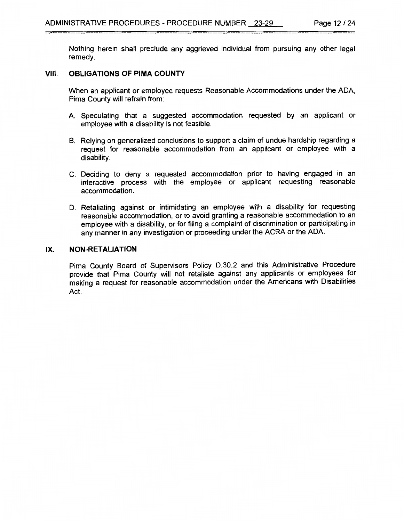Nothing herein shall preclude any aggrieved individual from pursuing any other legal remedy.

#### **VIII. OBLIGATIONS OF PIMA COUNTY**

\_\_\_\_\_\_\_\_\_\_\_\_\_\_\_\_\_\_\_

When an applicant or employee requests Reasonable Accommodations under the ADA, Pima County will refrain from:

- A Speculating that a suggested accommodation requested by an applicant or employee with a disability is not feasible.
- B. Relying on generalized conclusions to support a claim of undue hardship regarding a request for reasonable accommodation from an applicant or employee with a disability.
- C. Deciding to deny a requested accommodation prior to having engaged in an interactive process with the employee or applicant requesting reasonable accommodation.
- D. Retaliating against or intimidating an employee with a disability for requesting reasonable accommodation, or to avoid granting a reasonable accommodation to an employee with a disability, or for filing a complaint of discrimination or participating in any manner in any investigation or proceeding under the ACRA or the ADA

#### **IX. NON-RETALIATION**

Pima County Board of Supervisors Policy D.30.2 and this Administrative Procedure provide that Pima County will not retaliate against any applicants or employees for making a request for reasonable accommodation under the Americans with Disabilities Act.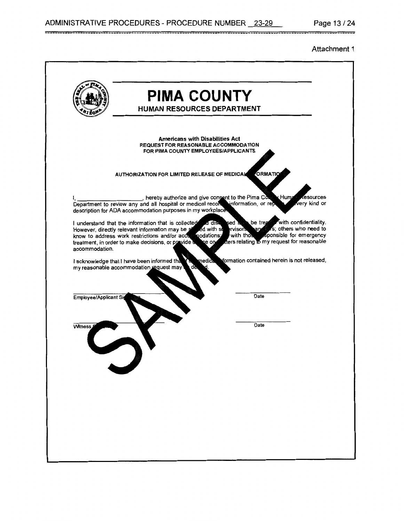#### Attachment 1

\_\_\_\_\_

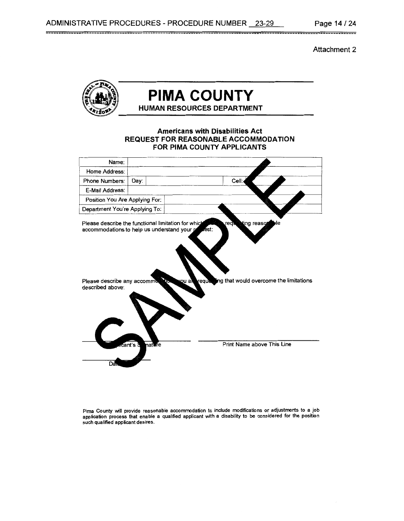Attachment 2



 $\equiv$ 

# **PIMA COUNTY HUMAN RESOURCES DEPARTMENT**

#### **Americans with Disabilities Act REQUEST FOR REASONABLE ACCOMMODATION FOR PIMA COUNTY APPLICANTS**

| Name:                                                                                                  |                    |                                                                                                                                                                                       |
|--------------------------------------------------------------------------------------------------------|--------------------|---------------------------------------------------------------------------------------------------------------------------------------------------------------------------------------|
| Home Address:                                                                                          |                    |                                                                                                                                                                                       |
| <b>Phone Numbers:</b>                                                                                  | Day:               | Cell:                                                                                                                                                                                 |
| E-Mail Address:                                                                                        |                    |                                                                                                                                                                                       |
| Position You Are Applying For:                                                                         |                    |                                                                                                                                                                                       |
| Department You're Applying To:                                                                         |                    |                                                                                                                                                                                       |
| Please describe the functional limitation for which<br>Please describe any accommo<br>described above: | nature<br>cant's s | ting reaso<br>ılе<br><b>redu</b><br>accommodations to help us understand your prestst:<br>requesing that would overcome the limitations<br>rou al<br>tъ<br>Print Name above This Line |
|                                                                                                        |                    |                                                                                                                                                                                       |
| Dá                                                                                                     |                    |                                                                                                                                                                                       |

Pima County will provide reasonable accommodation to include modifications or adjustments to a job application process that enable a qualified applicant with a disability to be considered for the position such qualified applicant desires.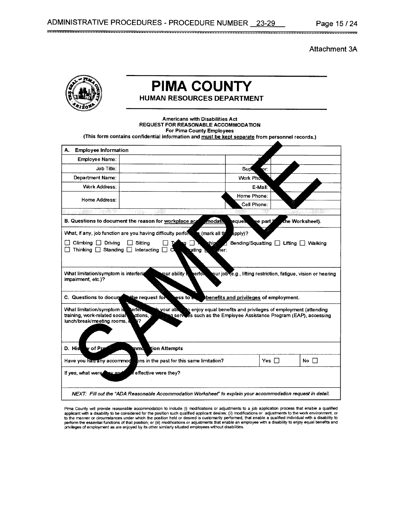Attachment 3A



# **PIMA COUNTY**

**HUMAN RESOURCES DEPARTMENT** 

--------------------------------------------------------------------------------------------------------------------------

Americans with Disabilities Act REQUEST FOR REASONABLE ACCOMMODATION For Pima County Employees (This form contains confidential information and must be kept separate from personnel records.) A. Employee Information Employee Name: Job Title: Sup 'n. Department Name: Work Pho Work Address: E-Mail Home Phone: Home Address: Cell Phone: B. Questions to document the reason for workplace ag hodati he Worksheet). eaue e part What, if any, job function are you having difficulty perfor (mark all t pply)?  $\Box$  Climbing  $\Box$  Driving  $\Box$  Sitting  $\Box$ Bending/Squatting **D** Lifting D Walking □ Thinking □ Standing □ Interacting □ C ating ` ñег: our ability What limitation/symptom is interferi our job (e.g., lifting restriction, fatigue, vision or hearing erfo impairment, etc.)? C. Questions to docu the request fo ess to benefits and privileges of employment. What limitation/symptom i erfer vour ab enjoy equal benefits and privileges of employment (attending training, work-related socia ctions. ı serv  $\overline{\mathbf{e}}$ s such as the Employee Assistance Program (EAP), accessing lunch/break/meeting rooms. of Pp D. His ion Attempts m Yes □ No □ Have you had any accommod ons in the past for this same limitation? effective were they? If yes, what were NEXT: Fill out the "ADA Reasonable Accommodation Worksheef' *to* explain your accommodation request in detail.

Pima County will provide reasonable accommodation to include (i) modifications or adjustments to a job application process that enable a qualified applicant with a disability to be considered for the position such qualified applicant desires; (ii) modifications or adjustments to the work environment, or to the manner or circumstances under which the position held or desired is customarily performed, that enable a qualified individual with a disability to<br>perform the essential functions of that position; or (iii) modificat privileges of employment as are enjoyed by its other similarly situated employees without disabilities.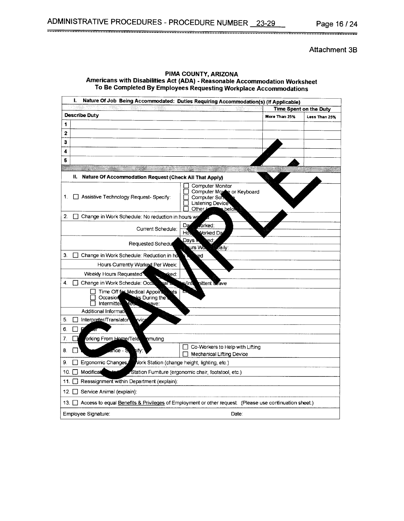ADMINISTRATIVE PROCEDURES - PROCEDURE NUMBER 23-29 Page 16 / 24

Attachment 38

| L<br>Nature Of Job Being Accommodated: Duties Requiring Accommodation(s) (If Applicable)                                        |                                                                                                                  |                    |                                         |
|---------------------------------------------------------------------------------------------------------------------------------|------------------------------------------------------------------------------------------------------------------|--------------------|-----------------------------------------|
| <b>Describe Duty</b>                                                                                                            |                                                                                                                  | More Than 25%      | Time Spent on the Duty<br>Less Than 25% |
| 1                                                                                                                               |                                                                                                                  |                    |                                         |
| 2                                                                                                                               |                                                                                                                  |                    |                                         |
| 3                                                                                                                               |                                                                                                                  |                    |                                         |
| 4                                                                                                                               |                                                                                                                  |                    |                                         |
| 5                                                                                                                               |                                                                                                                  |                    |                                         |
|                                                                                                                                 | an an t-ainm an an an an an an                                                                                   | <u>man sa t</u> ha |                                         |
| H.<br>Nature Of Accommodation Request (Check All That Apply)                                                                    |                                                                                                                  |                    |                                         |
| Assistive Technology Request-Specify:<br>1.                                                                                     | Computer Monitor<br>Computer Morde or Keyboard<br>Computer Soft<br><b>Listening Device</b><br>Other /<br>⊾belo\\ |                    |                                         |
| 2.<br>Change in Work Schedule: No reduction in hours we                                                                         |                                                                                                                  |                    |                                         |
| Current Schedule:                                                                                                               | forked:<br>Da<br>Hò.<br>Vorked Da                                                                                |                    |                                         |
| Requested Schedu                                                                                                                | Davs w<br>ed.<br>urs Wor<br>⊿aily:                                                                               |                    |                                         |
| З.<br>$\Box$<br>Change in Work Schedule: Reduction in ho                                                                        | ed                                                                                                               |                    |                                         |
| Hours Currently Worked Per Week:                                                                                                |                                                                                                                  |                    |                                         |
| Weekly Hours Requested<br>sked:                                                                                                 |                                                                                                                  |                    |                                         |
| 4.<br>Change in Work Schedule: Occa<br>ণaি≖                                                                                     | s/Inti<br>nittent Leave                                                                                          |                    |                                         |
| Time Off for Medical Appoint<br>ΩdS<br><b>aks</b> During the<br>Occasion<br>Intermittel<br>Yea<br>eave:<br>Additional Informati |                                                                                                                  |                    |                                         |
| Interpreter/Translator<br>5.<br>Vic                                                                                             |                                                                                                                  |                    |                                         |
| P<br>6.<br>er                                                                                                                   |                                                                                                                  |                    |                                         |
| 7.<br>orking From Home/Tele<br>nmuting                                                                                          |                                                                                                                  |                    |                                         |
| 8.<br>añce - S<br>:ify:                                                                                                         | Co-Workers to Help with Lifting<br><b>Mechanical Lifting Device</b>                                              |                    |                                         |
| 9.<br>Ergonomic Changes<br>Vork Station (change height, lighting, etc.)                                                         |                                                                                                                  |                    |                                         |
| Modificat<br>10.                                                                                                                | Station Fumiture (ergonomic chair, footstool, etc.)                                                              |                    |                                         |
| Reassignment within Department (explain):<br>11. L L                                                                            |                                                                                                                  |                    |                                         |
| Service Animal (explain):<br>12. L                                                                                              |                                                                                                                  |                    |                                         |
| 13. Access to equal Benefits & Privileges of Employment or other request. (Please use continuation sheet.)                      |                                                                                                                  |                    |                                         |
| Employee Signature:                                                                                                             | Date:                                                                                                            |                    |                                         |

PIMA COUNTY, ARIZONA Americans with Disabilities Act (ADA) - Reasonable Accommodation Worksheet To Be Completed By Employees Requesting Workplace Accommodations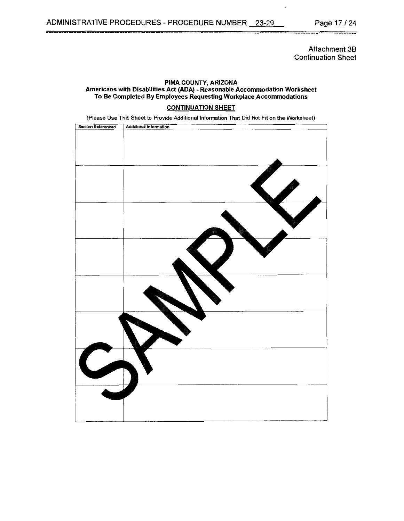Page 17 / 24

Attachment 38 Continuation Sheet

#### PIMA COUNTY, ARIZONA Americans with Disabilities Act (ADA) - Reasonable Accommodation Worksheet To Be Completed By Employees Requesting Workplace Accommodations

#### CONTINUATION SHEET

(Please Use This Sheet to Provide Additional Information That Did Not Fit on the Worksheet)

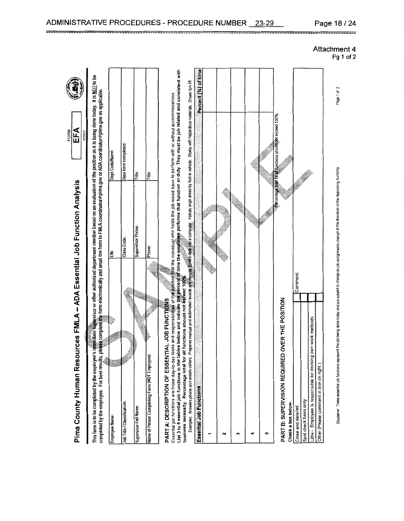

Supervisor Full Name: **IDervisor Full Name** 

FORM

PART A: DESCRIPTION OF ESSENTIAL JOB FUNCTIONS PART A: DESCRIPTION OF ESSENTIAL JOB FUNC

Essenial por uncluirs are inose oay-to-agy tass and responsionally to presence the increased into the condition or duty. They must be job related and consistent with<br>List 3 to 5 essential job functions in the tables below

 $\sim$ 

 $\overline{r}$ 

 $\tilde{3}$ 

 $\ddot{ }$ 

5

Comment

Little - Employee is responsible for devising own work methods Little - Employee is responsible for devising own work methods Spot check basis only Spot check basis only Close and detailed !Close and detailed

Other (Please comment in box on right.)

Other (Please comment in box on right.)

Disclaimer These essential inhibitions represent the ich beino done today and are substant of the discretion of the discoluting Authority. Page 1 of 2 Disciamer These essential job functions represent the job being done loday and are subject to trange as ignments change at the discretion of the Appointing Authority

**I** 

Page 1 of 2

 $\overline{\phantom{a}}$ **I**  $\overline{\phantom{a}}$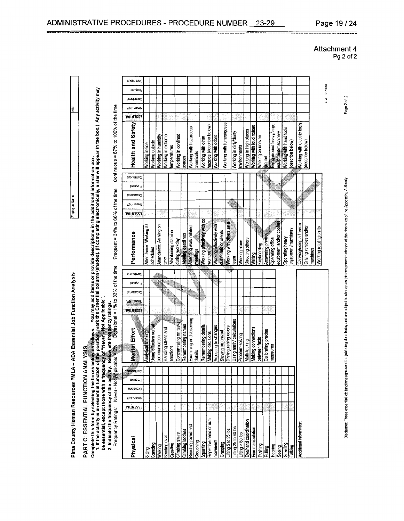Pima County Human Resources FMLA – ADA Essential Job Function Analysis Interventions Name: ------------------ link Internal Internal Internal Internal Internal Internal Internal Internal Internal Internal Internal Internal Pima County Human Resources FMLA - ADA Essential Job Function Analysis

Ż

Employee Name:

PART C: ESSENTIAL FUNCTION ANALYSIS

Complete this form by selecting the boxes below as tournay and items or provide descriptions in the additional information box.<br>1. If the activity is an essential function of the position, mark the Essential column (shaded

- Not Applicable". be essential, except those with a frequency of "Never"<br>2. Indicate the frequency of the activity. Below are frequency Ratings: Never - Not Applicable = 0% O

Continuous = 67% to 100% of the time fre<mark>qu</mark>ency ratings.<br>Ocpasional = 1% to 33% of the time Frequent = 34% to 66% of the time

| Continuous           |                        |                       |                         |                     |                     |                       |                   |                         |           |                              |                          |                          |                          |                          |                         |                   |                        |                          |                   |                     |                          |                          |                         |                     |                             |                         |          |                         |             |
|----------------------|------------------------|-----------------------|-------------------------|---------------------|---------------------|-----------------------|-------------------|-------------------------|-----------|------------------------------|--------------------------|--------------------------|--------------------------|--------------------------|-------------------------|-------------------|------------------------|--------------------------|-------------------|---------------------|--------------------------|--------------------------|-------------------------|---------------------|-----------------------------|-------------------------|----------|-------------------------|-------------|
| meupen-              |                        |                       |                         |                     |                     |                       |                   |                         |           |                              |                          |                          |                          |                          |                         |                   |                        |                          |                   |                     |                          |                          |                         |                     |                             |                         |          |                         | EFA 01/2013 |
| euoiseno j           |                        |                       |                         |                     |                     |                       |                   |                         |           |                              |                          |                          |                          |                          |                         |                   |                        |                          |                   |                     |                          |                          |                         |                     |                             |                         |          |                         |             |
| үлү - талаг          |                        |                       |                         |                     |                     |                       |                   |                         |           |                              |                          |                          |                          |                          |                         |                   |                        |                          |                   |                     |                          |                          |                         |                     |                             |                         |          |                         |             |
| <b>ESSENTIAL</b>     |                        |                       |                         |                     |                     |                       |                   |                         |           |                              |                          |                          |                          |                          |                         |                   |                        |                          |                   |                     |                          |                          |                         |                     |                             |                         |          |                         |             |
| Health and Safety    | Working inside         | Working outside       | Working in humidity     | Working in extreme  | temperatures        | Working in confined   | spaces            | Working with hazardous  | chemicals | Working with other           | hazards (describe below) | Working with odors       | Working with fumes/gases |                          | Working in dirty/dusty  | environments      | Working in high places | Working with loud noises | Walking on uneven | ground              | Being around heavy/large | equipment/machinery      | Working with hand tools | (describe below)    | Working with electric tools | (describe below)        |          |                         |             |
| Snonu nuon           |                        |                       |                         |                     |                     |                       |                   |                         |           |                              |                          |                          |                          |                          |                         |                   |                        |                          |                   |                     |                          |                          |                         |                     |                             |                         |          |                         |             |
| Frequent             |                        |                       |                         |                     |                     |                       |                   |                         |           |                              |                          |                          |                          |                          |                         |                   |                        |                          |                   |                     |                          |                          |                         |                     |                             |                         |          |                         |             |
| <b>EUOISEO3O</b>     |                        |                       |                         |                     |                     |                       |                   |                         |           |                              |                          |                          |                          |                          |                         |                   |                        |                          |                   |                     |                          |                          |                         |                     |                             |                         |          |                         |             |
| 16MBL -<br>o'in'     |                        |                       |                         |                     |                     |                       |                   |                         |           |                              |                          |                          |                          |                          |                         |                   |                        |                          |                   |                     |                          |                          |                         |                     |                             |                         |          |                         |             |
| <b>E22EMINT</b>      |                        |                       |                         |                     |                     |                       |                   |                         |           |                              |                          |                          |                          |                          |                         |                   |                        |                          |                   |                     |                          |                          |                         |                     |                             |                         |          |                         |             |
| Performance          | Attendance: Working as | scheduled             | Attendance: Arriving on | Lime                | Maintaining stamina | during workday        | Meeting deadlines | Attending work-related  | meetings  | Working effectively with co- | <b>WOrkers</b>           | Norking effectively with | customers or clients     | Norking with others as a | team                    | Working alone     | Directing others       | Writing                  | Keyboarding       | Answering phones    | Operating office         | equipment and/or copiers | <b>Operating heavy</b>  | equipment/machinery | Carrying/using a firearm    | Driving vehicles and/or | nachines | Working rotating shifts |             |
| Continues            |                        |                       |                         |                     |                     |                       |                   |                         |           |                              |                          |                          |                          |                          |                         |                   |                        |                          |                   |                     |                          |                          |                         |                     |                             |                         |          |                         |             |
| Frequent             |                        |                       |                         |                     |                     |                       |                   |                         |           |                              |                          |                          |                          |                          |                         |                   |                        |                          |                   |                     |                          |                          |                         |                     |                             |                         |          |                         |             |
| <b>EU0ISEOO</b>      |                        |                       |                         |                     |                     |                       |                   |                         |           |                              |                          |                          |                          |                          |                         |                   |                        |                          |                   |                     |                          |                          |                         |                     |                             |                         |          |                         |             |
| AR - JOVEV           |                        |                       |                         |                     |                     |                       |                   |                         |           |                              |                          |                          |                          |                          |                         |                   |                        |                          |                   |                     |                          |                          |                         |                     |                             |                         |          |                         |             |
| <b>TWILN3SS3</b>     |                        |                       |                         |                     |                     |                       |                   |                         |           |                              |                          |                          |                          |                          |                         |                   |                        |                          |                   |                     |                          |                          |                         |                     |                             |                         |          |                         |             |
| Mental Effort        | Analytical thinking    | Jsing effective verba | communication           | Handling stress and | emotions            | Concentrating on task | Remembering names | Examining and observing | details   | Remembering details          | Making decisions         | Adjusting to changes     | Staying organized        | istinguishing colors     | Ising math calculations | Problem-solving   | Aulti-tasking          | vaking connections       | between facts     | Calibrating precise | measures                 |                          |                         |                     |                             |                         |          |                         |             |
| <b>Controles</b>     |                        |                       |                         |                     |                     |                       |                   |                         |           |                              |                          |                          |                          |                          |                         |                   |                        |                          |                   |                     |                          |                          |                         |                     |                             |                         |          |                         |             |
| juenbei <sub>d</sub> |                        |                       |                         |                     |                     |                       |                   |                         |           |                              |                          |                          |                          |                          |                         |                   |                        |                          |                   |                     |                          |                          |                         |                     |                             |                         |          |                         |             |
| <b>RUDISECO</b> O    |                        |                       |                         |                     |                     |                       |                   |                         |           |                              |                          |                          |                          |                          |                         |                   |                        |                          |                   |                     |                          |                          |                         |                     |                             |                         |          |                         |             |
| Alaver - NiA         |                        |                       |                         |                     |                     |                       |                   |                         |           |                              |                          |                          |                          |                          |                         |                   |                        |                          |                   |                     |                          |                          |                         |                     |                             |                         |          |                         |             |
| <b>TAITNESSE</b>     |                        |                       |                         |                     |                     |                       |                   |                         |           |                              |                          |                          |                          |                          |                         |                   |                        |                          |                   |                     |                          |                          |                         |                     |                             |                         |          |                         |             |
| Physical             | Sitting                | Standing              | Nalking                 | Bending over        | Crawling            | Cilmbing stairs       | Climbing ladders  | Reaching overhead       | Crouching | Squatting                    | Repetitive hand or arm   | movement                 | Grasping                 | ifting 5 to 25 lbs       | ifting 25 to 60 lbs     | ifting $> 60$ lbs | ye/hand coordination   | Fine manipulation        | <b>Pushing</b>    | Pulling             | Hearing                  | Seeing                   | Smelling                | ialking             | Additional information      |                         |          |                         |             |

# -------------<br>Attachmer<br>Pg 2 --<br>h<br>F ------<br>ment<br><sup>P</sup>g 2 o

Page 2 of 2

**I I** 

Disclaimer These essential into functions represent the job being done today and are subject to change as job assignments change at the Appointing Authority. Page 2 of 2

Disclaimer. These essertial (ab functions represent the job being done today and are subject to change as job assignments change at the discretion of the Appointing Authority.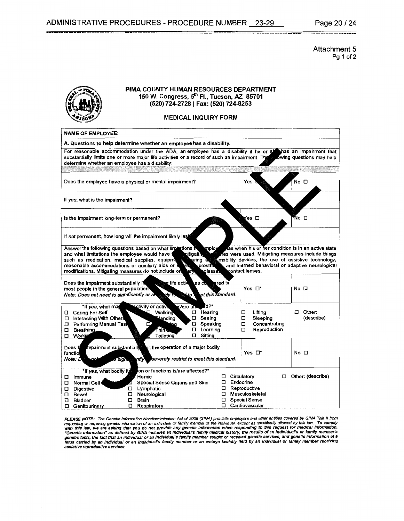Attachment 5 Pg 1 of 2



#### PIMA COUNTY HUMAN RESOURCES DEPARTMENT 150 W. Congress, 5<sup>th</sup> Fl., Tucson, AZ 85701 (520) 724-2728 I Fax: (520) 724-8253

MEDICAL INQUIRY FORM

| <b>NAME OF EMPLOYEE:</b>                                                                                                                          |                                                                                                                                                                                                                                        |                                                                                                                                                                                                                                    |                             |
|---------------------------------------------------------------------------------------------------------------------------------------------------|----------------------------------------------------------------------------------------------------------------------------------------------------------------------------------------------------------------------------------------|------------------------------------------------------------------------------------------------------------------------------------------------------------------------------------------------------------------------------------|-----------------------------|
|                                                                                                                                                   | A. Questions to help determine whether an employee has a disability.                                                                                                                                                                   |                                                                                                                                                                                                                                    |                             |
| determine whether an employee has a disability:                                                                                                   | For reasonable accommodation under the ADA, an employee has a disability if he or so has an impairment that<br>substantially limits one or more major life activities or a record of such an impairment. The cowing questions may help |                                                                                                                                                                                                                                    |                             |
|                                                                                                                                                   |                                                                                                                                                                                                                                        |                                                                                                                                                                                                                                    |                             |
|                                                                                                                                                   | Does the employee have a physical or mental impairment?                                                                                                                                                                                | Yes                                                                                                                                                                                                                                | $No$ $\square$              |
| If yes, what is the impairment?                                                                                                                   |                                                                                                                                                                                                                                        |                                                                                                                                                                                                                                    |                             |
| Is the impairment long-term or permanent?                                                                                                         |                                                                                                                                                                                                                                        | Yes □                                                                                                                                                                                                                              | Kho ⊡                       |
|                                                                                                                                                   | If not permanent, how long will the impairment likely last                                                                                                                                                                             |                                                                                                                                                                                                                                    |                             |
| and what limitations the employee would have<br>such as medication, medical supplies, equipment<br>reasonable accommodations or auxiliary aids or | Answer the following questions based on what liminations in<br>mploy<br>nitigatin,<br>aring a<br>prostite<br>л<br>modifications. Mitigating measures do not include or<br>glasses<br>ary                                               | as when his or her condition is in an active state<br>es were used. Mitigating measures include things<br>mobility devices, the use of assistive technology,<br>and learned behavioral or adaptive neurological<br>contact lenses. |                             |
| Does the impairment substantially if<br>most people in the general population<br>Note: Does not need to significantly or set                      | <b>Not life active</b><br>as co.<br>$e/v$ to $e^+$ to $v$                                                                                                                                                                              | ared to<br>Yes □*<br>et this standard.                                                                                                                                                                                             | No口                         |
| *If yes, what ma<br>□ Caring For Self<br>□ Interacting With Others<br>D Performing Manual Tas<br>Breathing<br>0<br>Worki                          | us/are an<br>activity or activi<br>!d?*<br>Hearing<br><b>Q</b> Walking<br>0<br><b>Manding</b><br>Seeing<br>0.<br>Speaking<br>0<br>dalar.<br>Learning<br>0<br><b>Toileting</b><br>Sitting<br>0                                          | Lifting<br>□<br>Sleeping<br>0<br>Concentrating<br>□<br>Reproduction<br>□                                                                                                                                                           | $\Box$ Other:<br>(describe) |
| Does tl<br>functio<br>Note: D                                                                                                                     | mpairment substantially and the operation of a major bodily<br>ntly severely restrict to meet this standard.<br>J Sigin                                                                                                                | Yes □*                                                                                                                                                                                                                             | No □                        |
| *If yes, what bodily fu<br>$\square$ Immune<br>Normal Cell<br>0.<br><b>Digestive</b><br>Bowel<br>о<br><b>Bladder</b><br>Genitourinary<br>о        | ion or functions is/are affected?*<br>Hemic<br>Special Sense Organs and Skin<br>▱<br>Lymphatic<br>Neurological<br>0.<br>Ο<br><b>Brain</b><br>0<br>Respiratory                                                                          | □ Circulatory<br>Endocrine<br>0.<br>Reproductive<br>0.<br>Musculoskeletal<br>0<br>Special Sense<br>0.<br>□ Cardiovascular                                                                                                          | Other: (describe)           |

PLEASE NOTE: The Genetic Information Nondistrimination Act of 2008 (GINA) prohibits employers and other entities covered by GINA Title II from<br>requesting or requiring genetic information of an individual or family member o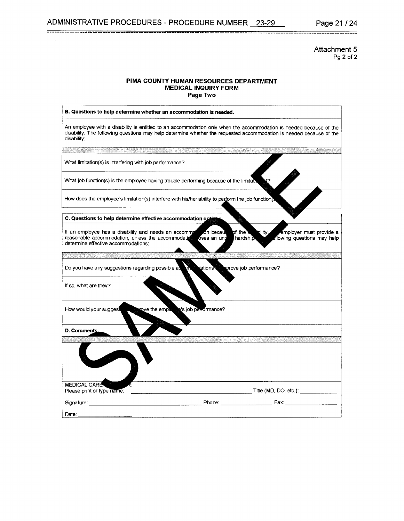Attachment 5 Pg 2 of 2

#### PIMA COUNTY HUMAN RESOURCES DEPARTMENT MEDICAL INQUIRY FORM Page Two

--------------------------------------------------------------------------------------------------------------------------

| B. Questions to help determine whether an accommodation is needed.                                                                                |                                                                                                                                                                                                                                           |
|---------------------------------------------------------------------------------------------------------------------------------------------------|-------------------------------------------------------------------------------------------------------------------------------------------------------------------------------------------------------------------------------------------|
| disability:                                                                                                                                       | An employee with a disability is entitled to an accommodation only when the accommodation is needed because of the<br>disability. The following questions may help determine whether the requested accommodation is needed because of the |
|                                                                                                                                                   | San Mari                                                                                                                                                                                                                                  |
| What limitation(s) is interfering with job performance?                                                                                           |                                                                                                                                                                                                                                           |
|                                                                                                                                                   | What job function(s) is the employee having trouble performing because of the limitation                                                                                                                                                  |
|                                                                                                                                                   | How does the employee's limitation(s) interfere with his/her ability to perform the job function(s                                                                                                                                        |
| C. Questions to help determine effective accommodation option                                                                                     |                                                                                                                                                                                                                                           |
| If an employee has a disability and needs an accommo<br>reasonable accommodation, unless the accommodation<br>determine effective accommodations: | on becau<br>employer must provide a<br>pf the t<br>bility.<br>oses an und<br>hardship.<br>dlowing questions may help                                                                                                                      |
| <u> Alexandria Ser</u>                                                                                                                            |                                                                                                                                                                                                                                           |
| Do you have any suggestions regarding possible a                                                                                                  | dations<br>prove job performance?                                                                                                                                                                                                         |
| If so, what are they?                                                                                                                             |                                                                                                                                                                                                                                           |
| How would your suggest<br>rove the empit                                                                                                          | s job performance?                                                                                                                                                                                                                        |
| D. Comments                                                                                                                                       |                                                                                                                                                                                                                                           |
|                                                                                                                                                   | Maus - Wartz                                                                                                                                                                                                                              |
|                                                                                                                                                   |                                                                                                                                                                                                                                           |
| <b>MEDICAL CARE</b>                                                                                                                               |                                                                                                                                                                                                                                           |
| Please print or type name:                                                                                                                        | Title (MD, DO, etc.): $\qquad \qquad$                                                                                                                                                                                                     |
| Signature:                                                                                                                                        | Phone: Fax:                                                                                                                                                                                                                               |
| Date:                                                                                                                                             |                                                                                                                                                                                                                                           |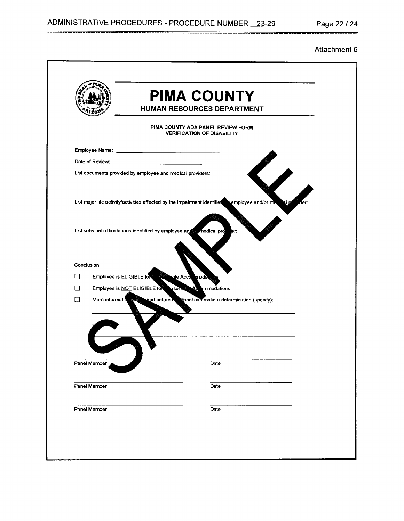#### Attachment 6

|              | <b>PIMA COUNTY</b><br><b>HUMAN RESOURCES DEPARTMENT</b>                                                 |
|--------------|---------------------------------------------------------------------------------------------------------|
|              | PIMA COUNTY ADA PANEL REVIEW FORM<br><b>VERIFICATION OF DISABILITY</b>                                  |
|              |                                                                                                         |
|              |                                                                                                         |
|              | List documents provided by employee and medical providers:                                              |
|              | List major life activity/activities affected by the impairment identifies<br>employee and/or me<br>ler: |
|              | List substantial limitations identified by employee and medical pro<br>eг:                              |
|              |                                                                                                         |
| Conclusion:  |                                                                                                         |
| П            | Employee is ELIGIBLE for the big Acco<br>modā                                                           |
| $\Box$       | Employee is NOT ELIGIBLE for<br><b>ASON</b><br>mmodations                                               |
| $\Box$       | More information is size wired before in Ranel can make a determination (specify):                      |
| Panel Member | Date                                                                                                    |
|              |                                                                                                         |
| Panel Member | Date                                                                                                    |
| Panel Member | Date                                                                                                    |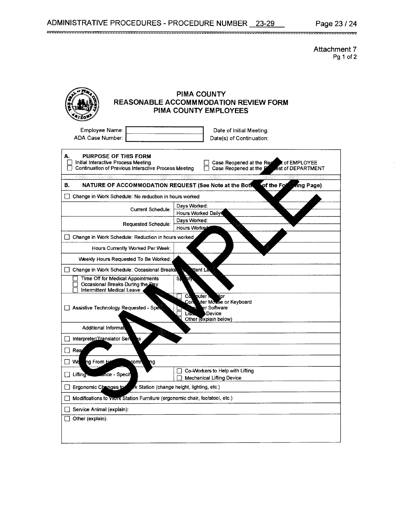--------------------------------------------------------------------------------------------------------------------------

**Attachment 7**  Pg 1 of 2

| PIMA COUNTY<br><b>REASONABLE ACCOMMMODATION REVIEW FORM</b><br>PIMA COUNTY EMPLOYEES                                                                                                                                                               |
|----------------------------------------------------------------------------------------------------------------------------------------------------------------------------------------------------------------------------------------------------|
| Employee Name:<br>Date of Initial Meeting:<br>ADA Case Number:<br>Date(s) of Continuation:                                                                                                                                                         |
| А.<br><b>PURPOSE OF THIS FORM</b><br>Initial Interactive Process Meeting<br>Case Reopened at the Reg<br>t of EMPLOYEE<br><b>Continuation of Previous Interactive Process Meeting</b><br>Case Reopened at the <b>P</b><br><b>Fest of DEPARTMENT</b> |
| of the Fol<br>NATURE OF ACCOMMODATION REQUEST (See Note at the Bott<br>ng Page)<br>В.                                                                                                                                                              |
| Change in Work Schedule: No reduction in hours worked<br>$\vert \ \vert$                                                                                                                                                                           |
| Days Worked:<br>Current Schedule:<br><b>Hours Worked Daily!</b>                                                                                                                                                                                    |
| Days Worked:<br>Requested Schedule:<br><b>Hours Worked</b>                                                                                                                                                                                         |
| Change in Work Schedule: Reduction in hours worked                                                                                                                                                                                                 |
| Hours Currently Worked Per Week:                                                                                                                                                                                                                   |
| Weekly Hours Requested To Be Worked:                                                                                                                                                                                                               |
| ittent Le<br>Change in Work Schedule: Occasional Breaks                                                                                                                                                                                            |
| Time Off for Medical Appointments<br>S,<br>eify<br>Occasional Breaks During the Day<br>Intermittent Medical Leave                                                                                                                                  |
| puter T<br>itor<br>Cđ.<br>Con<br>vter Mouse or Keyboard<br>Assistive Technology Requested - Spe<br>er Software<br>Device<br>List.<br>Other (explain below)                                                                                         |
| <b>Additional Informati</b>                                                                                                                                                                                                                        |
| Interpreter/Translator Ser<br>s                                                                                                                                                                                                                    |
| Rea                                                                                                                                                                                                                                                |
| Wd<br>ng From H<br>comn<br>ng                                                                                                                                                                                                                      |
| Co-Workers to Help with Lifting<br>Lifting <b>Manufacture</b> - Specif<br><b>Mechanical Lifting Device</b>                                                                                                                                         |
| Ergonomic Changes to<br>k Station (change height, lighting, etc.)                                                                                                                                                                                  |
| Modifications to Vvork Station Furniture (ergonomic chair, footstool, etc.)                                                                                                                                                                        |
| Service Animal (explain):                                                                                                                                                                                                                          |
| Other (explain):                                                                                                                                                                                                                                   |
|                                                                                                                                                                                                                                                    |